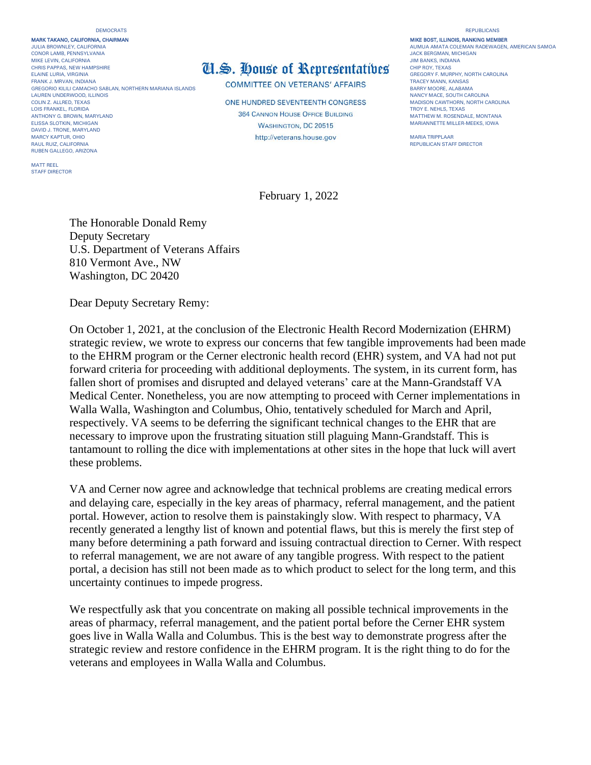## DEMOCRATS REPUBLICANS

MARK TAKANO, CALIFORNIA, CHAIRMAN MIKE BOST, ILLINOIS, RANKING MEMBER JULIA BROWNLEY, CALIFORNIA AUMUA AUMUA AUMUA AMATA COLEMAN RADEWAGEN, AMERICAN SAMOA AUMUA AMATA COLEMAN RADEWAGEN, AMERICAN SAMOA<br>JULIA BROWNLEY, CALIFORNIA<br>CONOR LAMB, PENNSYLVANIA CONOR LAMB, PENNSYLVANIA ELAINE LURIA, VIRGINIA DENENIS DENENIS DENENIS DEL **ELAINE LURIA, DE LA COMPREGORY F. MURPHY, NORTH CAROLINA**<br>FRANK J. MRVAN, INDIANA **GREGORY F. MURPHY, NORTH CAROLINA** COMPARED COMPARED ON VETER ANGY A FEALES TRACEY MANN GREGORIO KILILI CAMACHO SABLAN, NORTHERN MARIANA ISLANDS LAUREN UNDERWOOD, ILLINOIS<br>COLIN Z. ALLRED, TEXAS COLINOIS NANCY MACE, SOUTH CAROLINA<br>COLIN Z. ALLRED, TEXAS COLINA LOIS FRANKEL, FLORIDA<br>ANTHONY G. BROWN, MARYLAND ANTHONY G. BROWN MARYLAND MATHEW M. ROSENDALE, MONTANA MATHEW M. ROSENDALE, MONTANA MATHEW M. ROSENDALE, MONTANA ELISSA SLOTKIN, MICHIGAN **ELISSA SLOTKIN, MICHIGAN MARIANNETTE MILLER-MEEKS**, IOWA MARIANNETTE MILLER-MEEKS, IOWA DAVID J. TRONE, MARYLAND AUL RUIZ, CALIFORNIA CONTROL DE CONTROLLER EN CONTROLLER EN CONTROLLER EN CONTROLLER EN CONTROLLER EN CONTROLLER EN CONTROLLER EN CONTROLLER EN CONTROLLER EN CONTROLLER EN CONTROLLER EN CONTROLLER EN CONTROLLER EN CONTROLL RUBEN GALLEGO, ARIZONA

MATT REEL STAFF DIRECTOR

## MIKE LEVIN, CALIFORNIA<br>CHRIS PAPPAS, NEW HAMPSHIRE **THE CHIP ROY, TEXAS** THE ROY, TEXAS

COMMITTEE ON VETERANS' AFFAIRS<br>BARRY MOORE, ALABAMA

**ONE HUNDRED SEVENTEENTH CONGRESS** MADISON CAWTHORN, NORTH CAN TROY E. NEHLS, TEXAS http://veterans.house.gov MARIA TRIPPLAAR

February 1, 2022

The Honorable Donald Remy Deputy Secretary U.S. Department of Veterans Affairs 810 Vermont Ave., NW Washington, DC 20420

Dear Deputy Secretary Remy:

On October 1, 2021, at the conclusion of the Electronic Health Record Modernization (EHRM) strategic review, we wrote to express our concerns that few tangible improvements had been made to the EHRM program or the Cerner electronic health record (EHR) system, and VA had not put forward criteria for proceeding with additional deployments. The system, in its current form, has fallen short of promises and disrupted and delayed veterans' care at the Mann-Grandstaff VA Medical Center. Nonetheless, you are now attempting to proceed with Cerner implementations in Walla Walla, Washington and Columbus, Ohio, tentatively scheduled for March and April, respectively. VA seems to be deferring the significant technical changes to the EHR that are necessary to improve upon the frustrating situation still plaguing Mann-Grandstaff. This is tantamount to rolling the dice with implementations at other sites in the hope that luck will avert these problems.

VA and Cerner now agree and acknowledge that technical problems are creating medical errors and delaying care, especially in the key areas of pharmacy, referral management, and the patient portal. However, action to resolve them is painstakingly slow. With respect to pharmacy, VA recently generated a lengthy list of known and potential flaws, but this is merely the first step of many before determining a path forward and issuing contractual direction to Cerner. With respect to referral management, we are not aware of any tangible progress. With respect to the patient portal, a decision has still not been made as to which product to select for the long term, and this uncertainty continues to impede progress.

We respectfully ask that you concentrate on making all possible technical improvements in the areas of pharmacy, referral management, and the patient portal before the Cerner EHR system goes live in Walla Walla and Columbus. This is the best way to demonstrate progress after the strategic review and restore confidence in the EHRM program. It is the right thing to do for the veterans and employees in Walla Walla and Columbus.